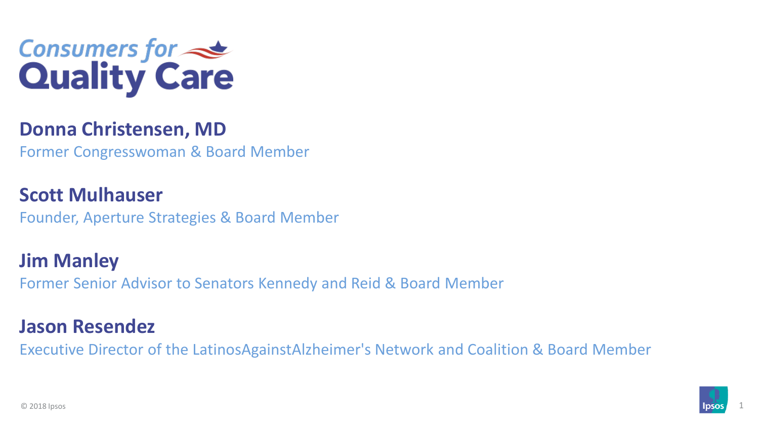

#### **Donna Christensen, MD**

Former Congresswoman & Board Member

**Scott Mulhauser** Founder, Aperture Strategies & Board Member

**Jim Manley** Former Senior Advisor to Senators Kennedy and Reid & Board Member

#### **Jason Resendez**

Executive Director of the LatinosAgainstAlzheimer's Network and Coalition & Board Member

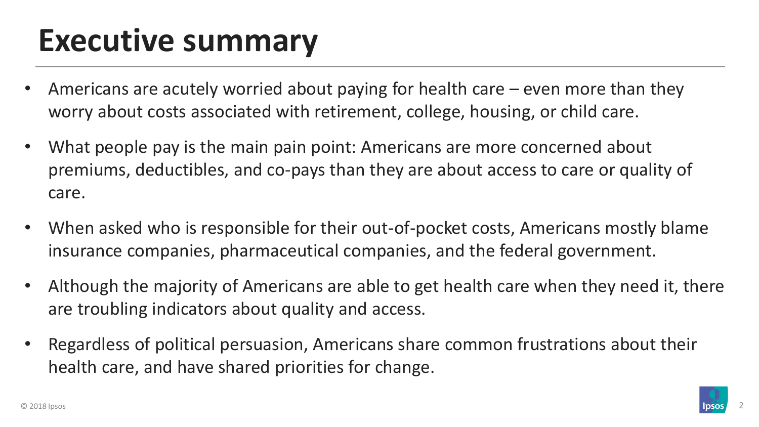# **Executive summary**

- Americans are acutely worried about paying for health care even more than they worry about costs associated with retirement, college, housing, or child care.
- What people pay is the main pain point: Americans are more concerned about premiums, deductibles, and co-pays than they are about access to care or quality of care.
- When asked who is responsible for their out-of-pocket costs, Americans mostly blame insurance companies, pharmaceutical companies, and the federal government.
- Although the majority of Americans are able to get health care when they need it, there are troubling indicators about quality and access.
- Regardless of political persuasion, Americans share common frustrations about their health care, and have shared priorities for change.

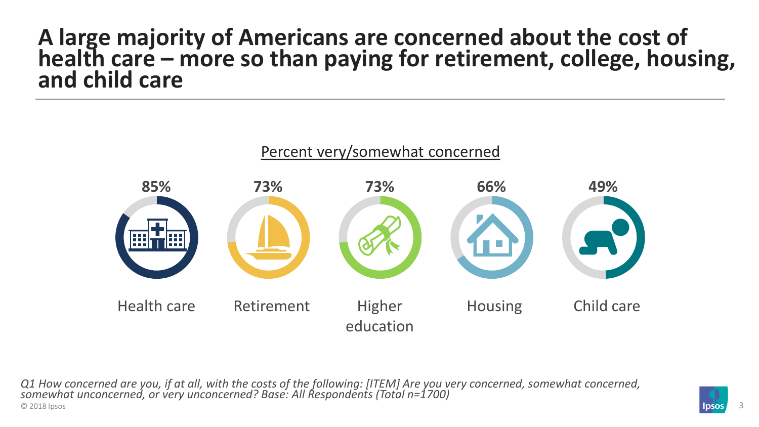#### **A large majority of Americans are concerned about the cost of health care – more so than paying for retirement, college, housing, and child care**



© 2018 Ipsos **3 Ipsos** 3 **3** *Q1 How concerned are you, if at all, with the costs of the following: [ITEM] Are you very concerned, somewhat concerned, somewhat unconcerned, or very unconcerned? Base: All Respondents (Total n=1700)*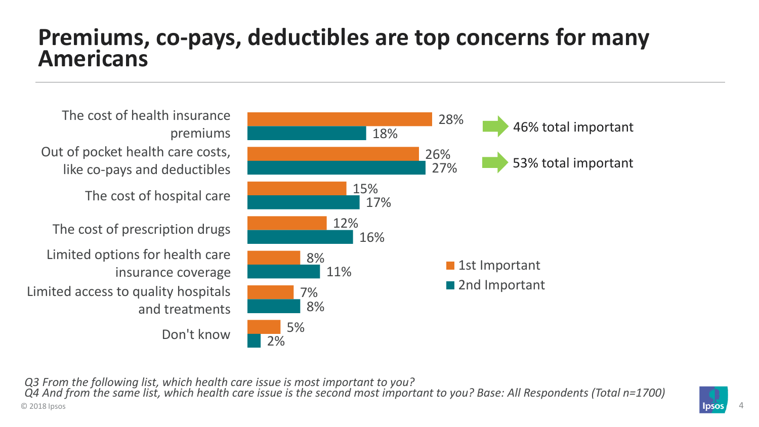#### **Premiums, co-pays, deductibles are top concerns for many Americans**



© 2018 Ipsos **Alphants Accounts and Security Accounts and Security Accounts and Security Accounts and Security Accounts 4 and Accounts 4 and Accounts 4 and Accounts 4 and Accounts 4 and Accounts 4 and Accounts 4 and Accoun** *Q3 From the following list, which health care issue is most important to you? Q4 And from the same list, which health care issue is the second most important to you? Base: All Respondents (Total n=1700)*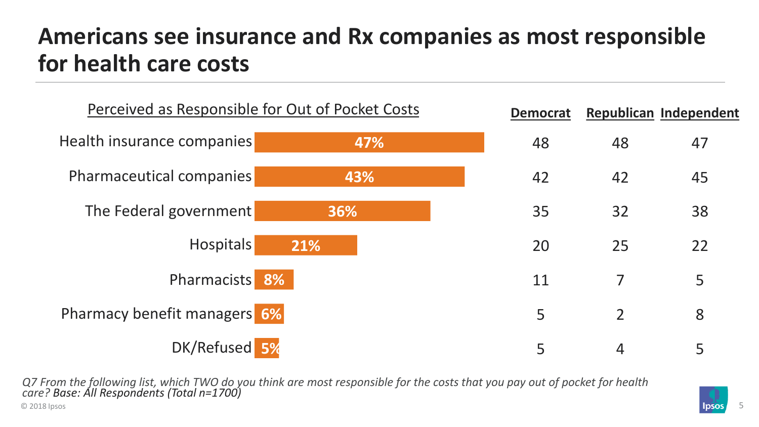## **Americans see insurance and Rx companies as most responsible for health care costs**



© 2018 Ipsos **Figure 1.0 Automobile 2.0** Automobile 2.018 Ipsos **Figure 1.0** Automobile 2.018 Ipsos **Figure 1.0** Automobile 2.018 Ipsos **Figure 1.0** Automobile 2.018 Ipsos **Figure 1.0** Automobile 2.018 Ipsos **Figure 1.0** A *Q7 From the following list, which TWO do you think are most responsible for the costs that you pay out of pocket for health care? Base: All Respondents (Total n=1700)*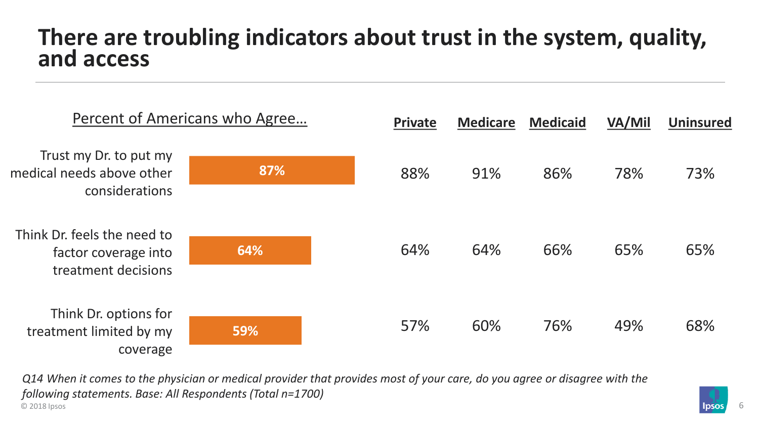#### **There are troubling indicators about trust in the system, quality, and access**



© 2018 Ipsos **Figure 1.0 Automobile 2.0** Automobile 2.018 Ipsos **Figure 1.0** Automobile 2.018 Ipsos **Figure 1.0** Automobile 2.018 Ipsos **Figure 1.0** Automobile 2.018 Ipsos **Figure 1.0** Automobile 2.018 Ipsos **Figure 1.0** A *Q14 When it comes to the physician or medical provider that provides most of your care, do you agree or disagree with the following statements. Base: All Respondents (Total n=1700)*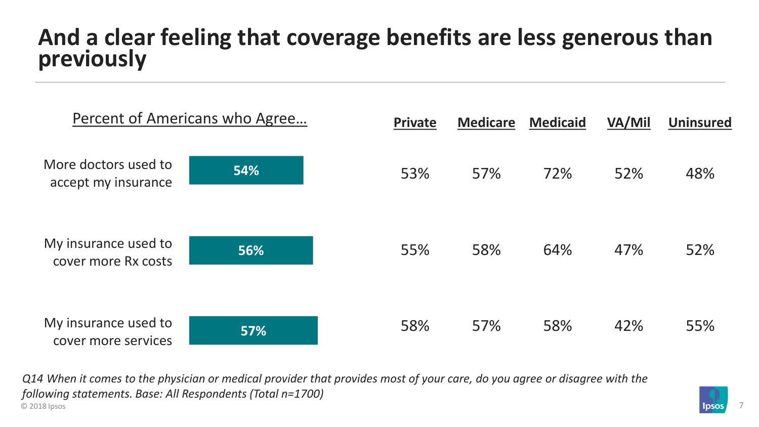## **And a clear feeling that coverage benefits are less generous than previously**



© 2018 Ipsos **Proposed in the contract of the contract of the contract of the contract of the contract of the contract of the contract of the contract of the contract of the contract of the contract of the contract of the** *Q14 When it comes to the physician or medical provider that provides most of your care, do you agree or disagree with the following statements. Base: All Respondents (Total n=1700)*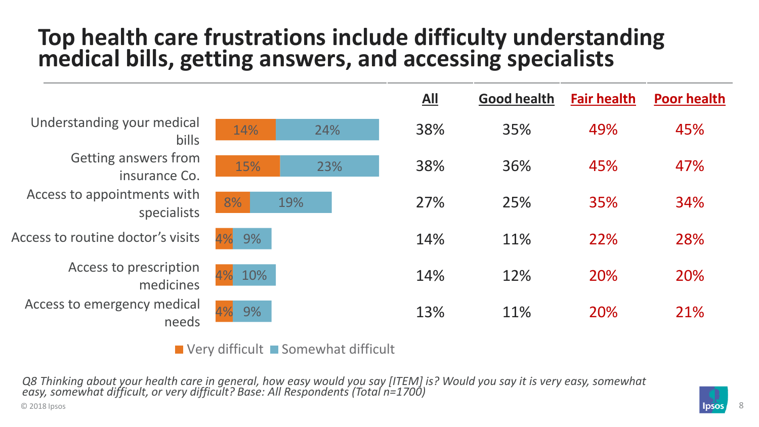## **Top health care frustrations include difficulty understanding medical bills, getting answers, and accessing specialists**

|                                            |            | $\underline{All}$ | <b>Good health</b> | <b>Fair health</b> | <b>Poor health</b> |
|--------------------------------------------|------------|-------------------|--------------------|--------------------|--------------------|
| Understanding your medical<br>bills        | 14%<br>24% | 38%               | 35%                | 49%                | 45%                |
| Getting answers from<br>insurance Co.      | 23%<br>15% | 38%               | 36%                | 45%                | 47%                |
| Access to appointments with<br>specialists | 8%<br>19%  | 27%               | 25%                | 35%                | 34%                |
| Access to routine doctor's visits          | 9%         | 14%               | 11%                | 22%                | 28%                |
| Access to prescription<br>medicines        | 4%<br>10%  | 14%               | 12%                | 20%                | 20%                |
| Access to emergency medical<br>needs       | 4%<br>9%   | 13%               | 11%                | 20%                | 21%                |

 $\blacksquare$  Very difficult  $\blacksquare$  Somewhat difficult

© 2018 Ipsos **Burnet Contains a Second Contains a Second Contains a Second Contains a Second Contains a Second Contains a Second Contains a Second Contains a Second Contains a Second Contains a Second Contains a Second Con** *Q8 Thinking about your health care in general, how easy would you say [ITEM] is? Would you say it is very easy, somewhat easy, somewhat difficult, or very difficult? Base: All Respondents (Total n=1700)*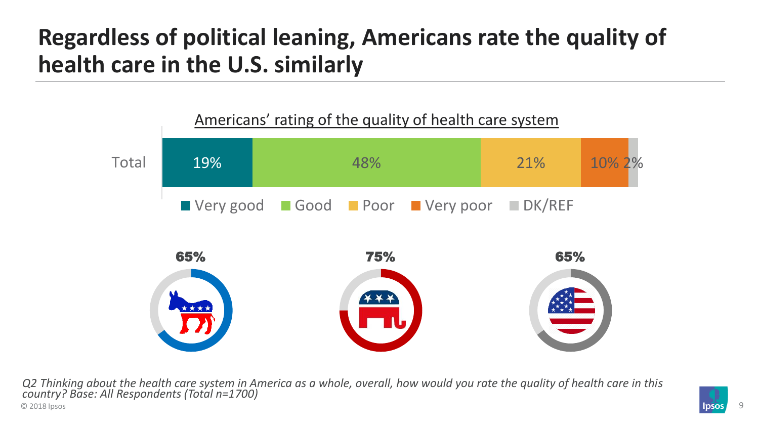# **Regardless of political leaning, Americans rate the quality of health care in the U.S. similarly**



© 2018 Ipsos Processes and the set of the set of the set of the set of the set of the set of the set of the set of the set of the set of the set of the set of the set of the set of the set of the set of the set of the set *Q2 Thinking about the health care system in America as a whole, overall, how would you rate the quality of health care in this country? Base: All Respondents (Total n=1700)*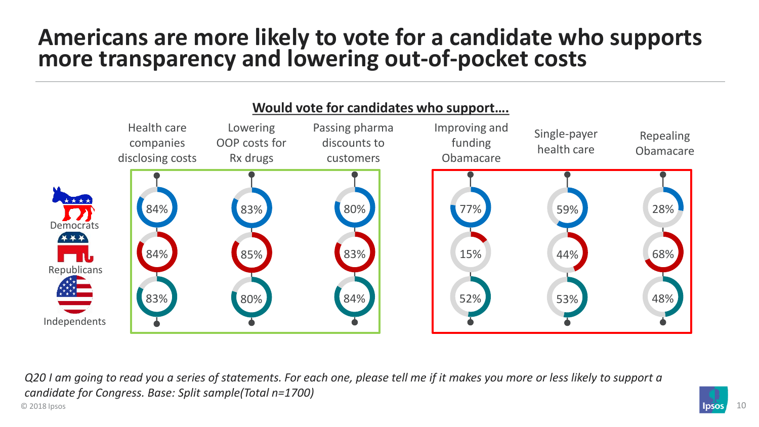## **Americans are more likely to vote for a candidate who supports more transparency and lowering out-of-pocket costs**



© 2018 Ipsos 10 *Q20 I am going to read you a series of statements. For each one, please tell me if it makes you more or less likely to support a candidate for Congress. Base: Split sample(Total n=1700)*